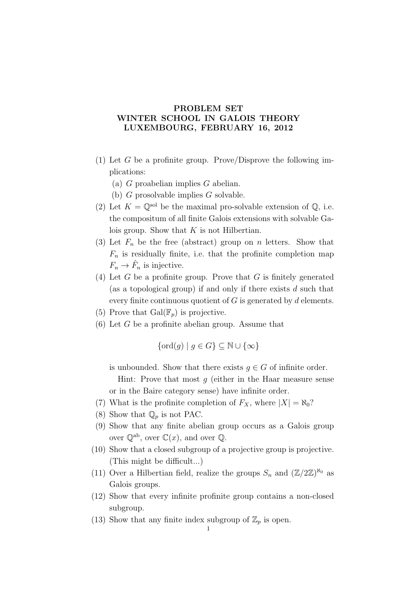## PROBLEM SET WINTER SCHOOL IN GALOIS THEORY LUXEMBOURG, FEBRUARY 16, 2012

- (1) Let G be a profinite group. Prove/Disprove the following implications:
	- (a)  $G$  proabelian implies  $G$  abelian.
	- (b) G prosolvable implies G solvable.
- (2) Let  $K = \mathbb{Q}^{\text{sol}}$  be the maximal pro-solvable extension of  $\mathbb{Q}$ , i.e. the compositum of all finite Galois extensions with solvable Galois group. Show that  $K$  is not Hilbertian.
- (3) Let  $F_n$  be the free (abstract) group on n letters. Show that  $F_n$  is residually finite, i.e. that the profinite completion map  $F_n \to \hat{F}_n$  is injective.
- (4) Let G be a profinite group. Prove that G is finitely generated (as a topological group) if and only if there exists  $d$  such that every finite continuous quotient of  $G$  is generated by  $d$  elements.
- (5) Prove that  $Gal(\mathbb{F}_p)$  is projective.
- $(6)$  Let G be a profinite abelian group. Assume that

$$
\{\operatorname{ord}(g) \mid g \in G\} \subseteq \mathbb{N} \cup \{\infty\}
$$

is unbounded. Show that there exists  $q \in G$  of infinite order.

Hint: Prove that most  $g$  (either in the Haar measure sense or in the Baire category sense) have infinite order.

- (7) What is the profinite completion of  $F_X$ , where  $|X| = \aleph_0$ ?
- (8) Show that  $\mathbb{Q}_p$  is not PAC.
- (9) Show that any finite abelian group occurs as a Galois group over  $\mathbb{Q}^{ab}$ , over  $\mathbb{C}(x)$ , and over  $\mathbb{Q}$ .
- (10) Show that a closed subgroup of a projective group is projective. (This might be difficult...)
- (11) Over a Hilbertian field, realize the groups  $S_n$  and  $(\mathbb{Z}/2\mathbb{Z})^{\aleph_0}$  as Galois groups.
- (12) Show that every infinite profinite group contains a non-closed subgroup.
- <span id="page-0-0"></span>(13) Show that any finite index subgroup of  $\mathbb{Z}_p$  is open.